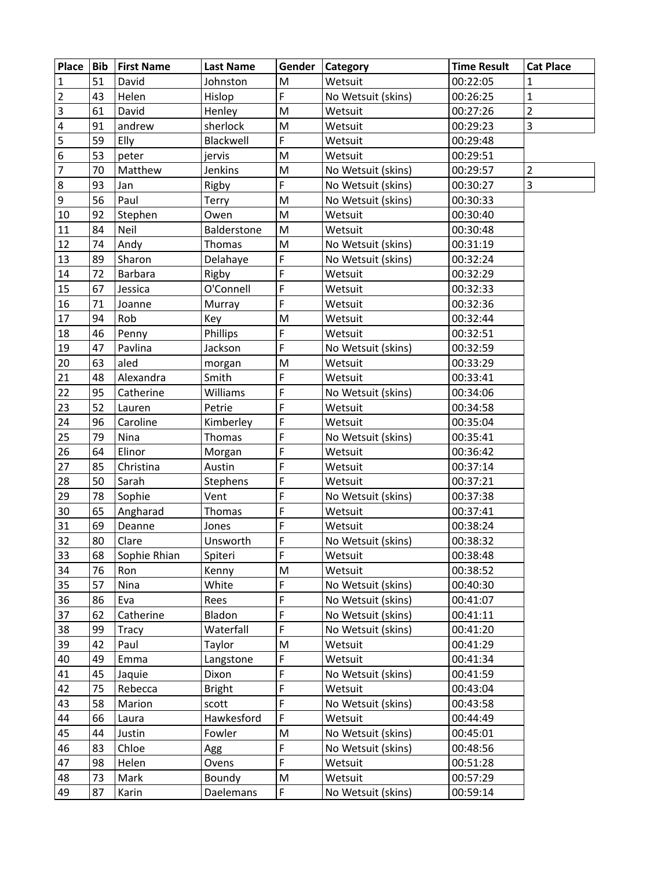| Place                                | <b>Bib</b> | <b>First Name</b> | <b>Last Name</b> | Gender | Category                       | <b>Time Result</b> | <b>Cat Place</b> |
|--------------------------------------|------------|-------------------|------------------|--------|--------------------------------|--------------------|------------------|
| $\mathbf{1}$                         | 51         | David             | Johnston         | M      | Wetsuit                        | 00:22:05           | 1                |
| $\overline{2}$                       | 43         | Helen             | Hislop           | F      | No Wetsuit (skins)<br>00:26:25 |                    | $\mathbf{1}$     |
| $\overline{3}$                       | 61         | David             | Henley           | M      | 00:27:26<br>Wetsuit            |                    | $\overline{2}$   |
| $\overline{\mathbf{r}}$              | 91         | andrew            | sherlock         | M      | Wetsuit                        | 00:29:23           | $\overline{3}$   |
| $\overline{\overline{\overline{5}}}$ | 59         | Elly              | Blackwell        | F      | Wetsuit                        | 00:29:48           |                  |
| $\boldsymbol{6}$                     | 53         | peter             | jervis           | M      | Wetsuit                        | 00:29:51           |                  |
| $\overline{7}$                       | 70         | Matthew           | Jenkins          | M      | No Wetsuit (skins)             | 00:29:57           | $\overline{2}$   |
| 8                                    | 93         | Jan               | Rigby            | F      | No Wetsuit (skins)             | 00:30:27           | $\overline{3}$   |
| 9                                    | 56         | Paul              | Terry            | M      | No Wetsuit (skins)             | 00:30:33           |                  |
| 10                                   | 92         | Stephen           | Owen             | M      | Wetsuit                        | 00:30:40           |                  |
| 11                                   | 84         | Neil              | Balderstone      | M      | Wetsuit                        | 00:30:48           |                  |
| 12                                   | 74         | Andy              | Thomas           | M      | No Wetsuit (skins)             | 00:31:19           |                  |
| 13                                   | 89         | Sharon            | Delahaye         | F      | No Wetsuit (skins)             | 00:32:24           |                  |
| 14                                   | 72         | Barbara           | Rigby            | F      | Wetsuit                        | 00:32:29           |                  |
| 15                                   | 67         | Jessica           | O'Connell        | F      | Wetsuit                        | 00:32:33           |                  |
| 16                                   | 71         | Joanne            | Murray           | F      | Wetsuit                        | 00:32:36           |                  |
| 17                                   | 94         | Rob               | Key              | M      | Wetsuit                        | 00:32:44           |                  |
| 18                                   | 46         | Penny             | Phillips         | F      | Wetsuit                        | 00:32:51           |                  |
| 19                                   | 47         | Pavlina           | Jackson          | F      | No Wetsuit (skins)             | 00:32:59           |                  |
| 20                                   | 63         | aled              | morgan           | M      | Wetsuit                        | 00:33:29           |                  |
| 21                                   | 48         | Alexandra         | Smith            | F      | Wetsuit                        | 00:33:41           |                  |
| 22                                   | 95         | Catherine         | Williams         | F      | No Wetsuit (skins)             | 00:34:06           |                  |
| 23                                   | 52         | Lauren            | Petrie           | F      | Wetsuit                        | 00:34:58           |                  |
| 24                                   | 96         | Caroline          | Kimberley        | F      | Wetsuit                        | 00:35:04           |                  |
| 25                                   | 79         | Nina              | Thomas           | F      | No Wetsuit (skins)             | 00:35:41           |                  |
| 26                                   | 64         | Elinor            | Morgan           | F      | Wetsuit                        | 00:36:42           |                  |
| 27                                   | 85         | Christina         | Austin           | F      | Wetsuit                        | 00:37:14           |                  |
| 28                                   | 50         | Sarah             | Stephens         | F      | Wetsuit                        | 00:37:21           |                  |
| 29                                   | 78         | Sophie            | Vent             | F      | No Wetsuit (skins)             | 00:37:38           |                  |
| 30                                   | 65         | Angharad          | <b>Thomas</b>    | F      | Wetsuit                        | 00:37:41           |                  |
| 31                                   | 69         | Deanne            | Jones            | F      | Wetsuit                        | 00:38:24           |                  |
| 32                                   | 80         | Clare             | Unsworth         | F      | No Wetsuit (skins)             | 00:38:32           |                  |
| 33                                   | 68         | Sophie Rhian      | Spiteri          | F      | Wetsuit                        | 00:38:48           |                  |
| 34                                   | 76         | Ron               | Kenny            | M      | Wetsuit                        | 00:38:52           |                  |
| 35                                   | 57         | Nina              | White            | F      | No Wetsuit (skins)             | 00:40:30           |                  |
| 36                                   | 86         | Eva               | Rees             | F      | No Wetsuit (skins)             | 00:41:07           |                  |
| 37                                   | 62         | Catherine         | Bladon           | F      | No Wetsuit (skins)             | 00:41:11           |                  |
| 38                                   | 99         | Tracy             | Waterfall        | F      | No Wetsuit (skins)             | 00:41:20           |                  |
| 39                                   | 42         | Paul              | Taylor           | M      | Wetsuit                        | 00:41:29           |                  |
| 40                                   | 49         | Emma              | Langstone        | F      | Wetsuit                        | 00:41:34           |                  |
| 41                                   | 45         | Jaquie            | Dixon            | F      | No Wetsuit (skins)             | 00:41:59           |                  |
| 42                                   | 75         | Rebecca           | <b>Bright</b>    | F      | Wetsuit                        | 00:43:04           |                  |
| 43                                   | 58         | Marion            | scott            | F      | No Wetsuit (skins)             | 00:43:58           |                  |
| 44                                   | 66         | Laura             | Hawkesford       | F      | Wetsuit                        | 00:44:49           |                  |
| 45                                   | 44         | Justin            | Fowler           | M      | No Wetsuit (skins)             | 00:45:01           |                  |
| 46                                   | 83         | Chloe             | Agg              | F      | No Wetsuit (skins)             | 00:48:56           |                  |
| 47                                   | 98         | Helen             | Ovens            | F      | Wetsuit                        | 00:51:28           |                  |
| 48                                   | 73         | Mark              | Boundy           | M      | Wetsuit                        | 00:57:29           |                  |
| 49                                   | 87         | Karin             | Daelemans        | F      | No Wetsuit (skins)             | 00:59:14           |                  |